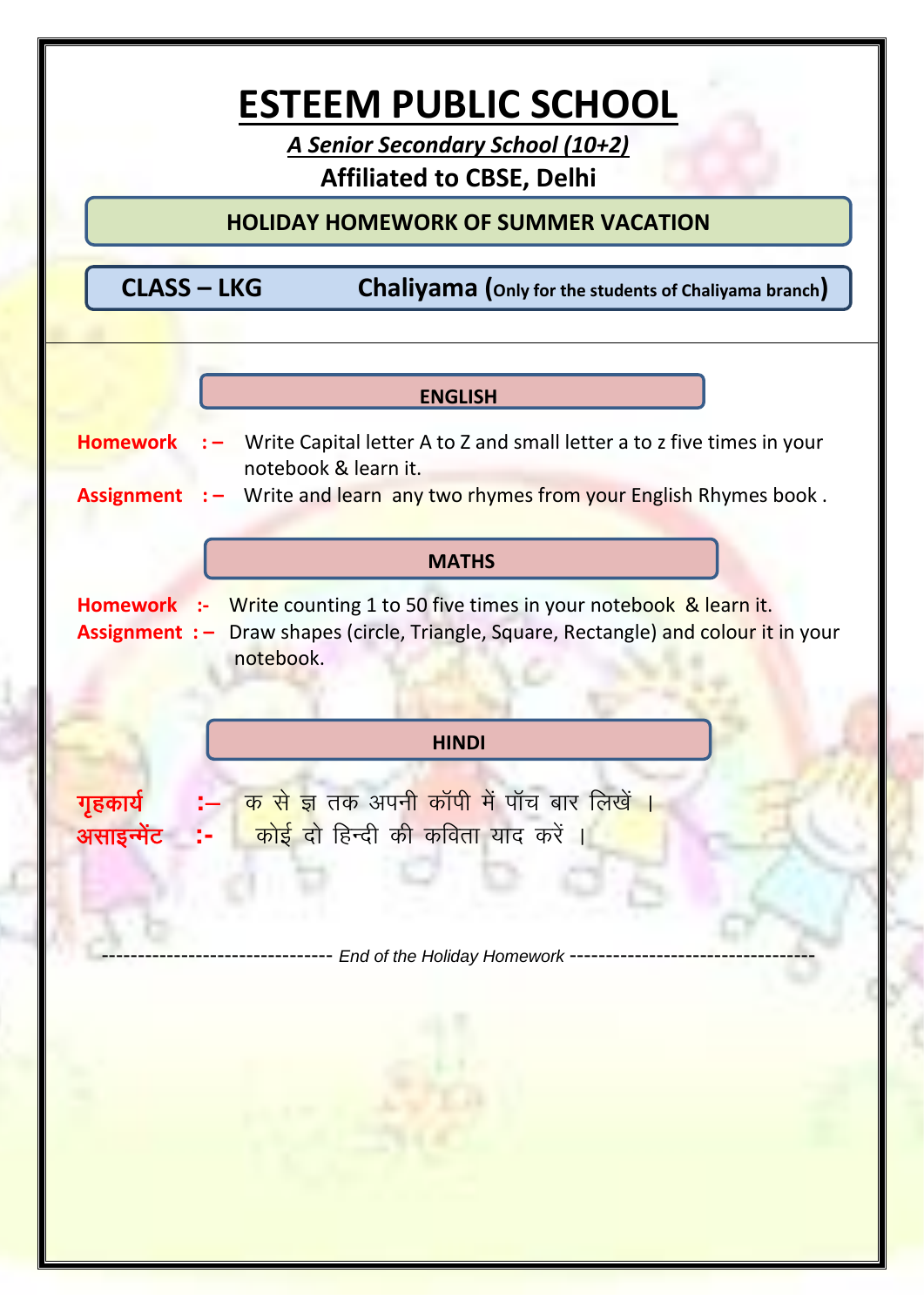

-------------------------------- *End of the Holiday Homework* ----------------------------------